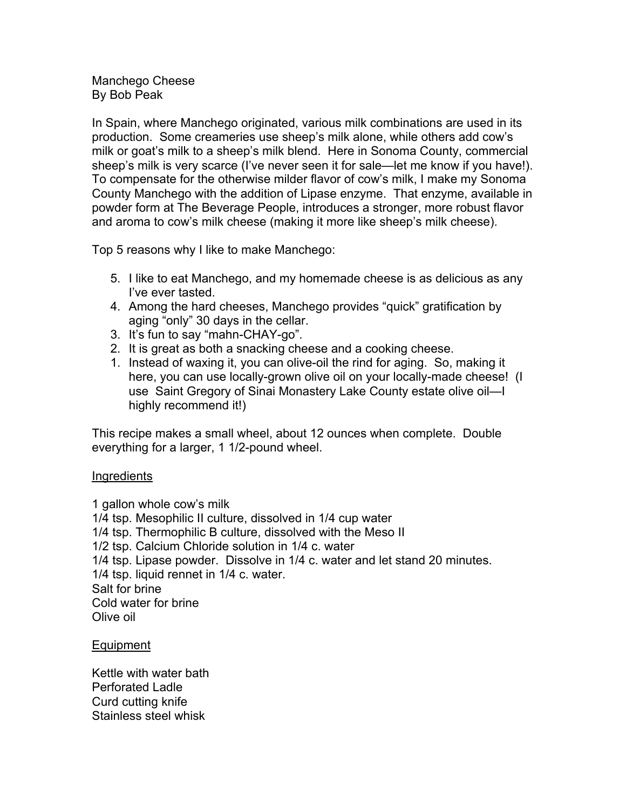Manchego Cheese By Bob Peak

In Spain, where Manchego originated, various milk combinations are used in its production. Some creameries use sheep's milk alone, while others add cow's milk or goat's milk to a sheep's milk blend. Here in Sonoma County, commercial sheep's milk is very scarce (I've never seen it for sale—let me know if you have!). To compensate for the otherwise milder flavor of cow's milk, I make my Sonoma County Manchego with the addition of Lipase enzyme. That enzyme, available in powder form at The Beverage People, introduces a stronger, more robust flavor and aroma to cow's milk cheese (making it more like sheep's milk cheese).

Top 5 reasons why I like to make Manchego:

- 5. I like to eat Manchego, and my homemade cheese is as delicious as any I've ever tasted.
- 4. Among the hard cheeses, Manchego provides "quick" gratification by aging "only" 30 days in the cellar.
- 3. It's fun to say "mahn-CHAY-go".
- 2. It is great as both a snacking cheese and a cooking cheese.
- 1. Instead of waxing it, you can olive-oil the rind for aging. So, making it here, you can use locally-grown olive oil on your locally-made cheese! (I use Saint Gregory of Sinai Monastery Lake County estate olive oil—I highly recommend it!)

This recipe makes a small wheel, about 12 ounces when complete. Double everything for a larger, 1 1/2-pound wheel.

## **Ingredients**

1 gallon whole cow's milk 1/4 tsp. Mesophilic II culture, dissolved in 1/4 cup water 1/4 tsp. Thermophilic B culture, dissolved with the Meso II 1/2 tsp. Calcium Chloride solution in 1/4 c. water 1/4 tsp. Lipase powder. Dissolve in 1/4 c. water and let stand 20 minutes. 1/4 tsp. liquid rennet in 1/4 c. water. Salt for brine Cold water for brine Olive oil

Equipment

Kettle with water bath Perforated Ladle Curd cutting knife Stainless steel whisk